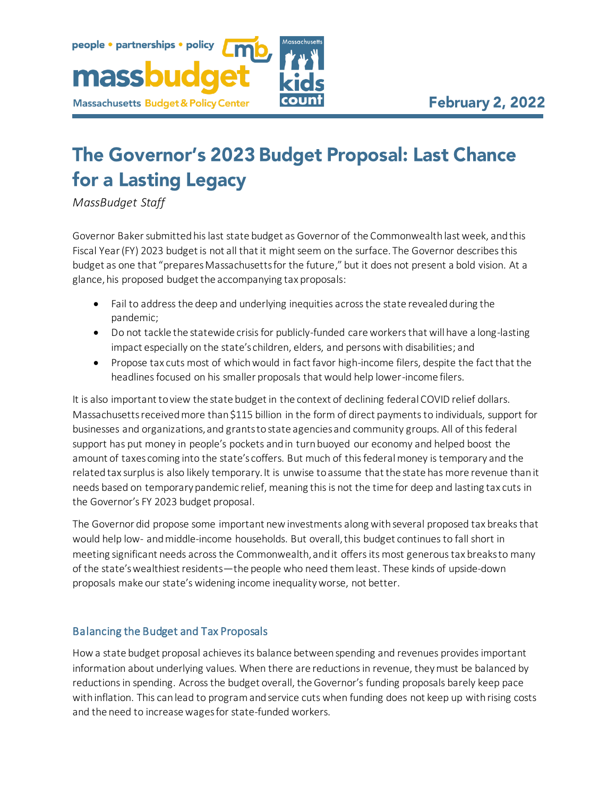# The Governor's 2023 Budget Proposal: Last Chance for a Lasting Legacy

*MassBudget Staff*

people · partnerships · policy

**Massachusetts Budget & Policy Center** 

massbud

Governor Baker submitted his last state budget as Governor of the Commonwealth last week, and this Fiscal Year (FY) 2023 budget is not all that it might seem on the surface. The Governor describes this budget as one that "prepares Massachusetts for the future," but it does not present a bold vision. At a glance, his proposed budget the accompanying tax proposals:

- Fail to address the deep and underlying inequities across the state revealed during the pandemic;
- Do not tackle the statewide crisis for publicly-funded care workers that will have a long-lasting impact especially on the state's children, elders, and persons with disabilities; and
- Propose tax cuts most of which would in fact favor high-income filers, despite the fact that the headlines focused on his smaller proposals that would help lower-income filers.

It is also important to view the state budget in the context of declining federal COVID relief dollars. Massachusettsreceived more than \$115 billion in the form of direct payments to individuals, support for businesses and organizations, and grants to state agencies and community groups. All of this federal support has put money in people's pockets and in turn buoyed our economy and helped boost the amount of taxes coming into the state's coffers. But much of this federal money is temporary and the related tax surplus is also likely temporary. It is unwise to assume that the state has more revenue than it needs based on temporary pandemic relief, meaning this is not the time for deep and lasting tax cuts in the Governor's FY 2023 budget proposal.

The Governor did propose some important new investments along with several proposed tax breaks that would help low- and middle-income households. But overall,this budget continues to fall short in meeting significant needs across the Commonwealth, and it offers its most generous tax breaks to many of the state's wealthiest residents—the people who need them least. These kinds of upside-down proposals make our state's widening income inequality worse, not better.

## Balancing the Budget and Tax Proposals

Howa state budget proposal achieves its balance between spending and revenues provides important information about underlying values. When there are reductions in revenue, they must be balanced by reductions in spending. Across the budget overall, the Governor's funding proposals barely keep pace with inflation. This can lead to program and service cuts when funding does not keep up with rising costs and the need to increase wages for state-funded workers.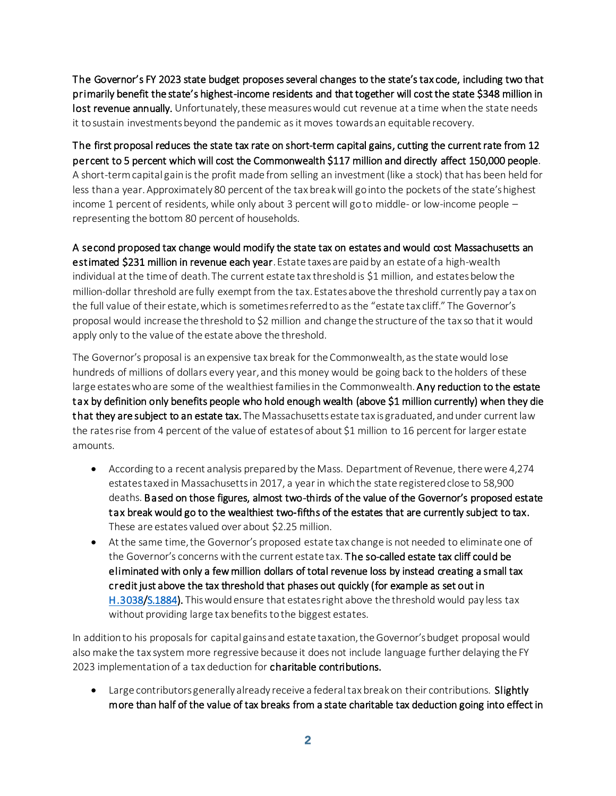The Governor's FY 2023 state budget proposes several changes to the state's tax code, including two that primarily benefit the state's highest-income residents and that together will cost the state \$348 million in lost revenue annually. Unfortunately, these measures would cut revenue at a time when the state needs it to sustain investmentsbeyond the pandemic as it moves towards an equitable recovery.

The first proposal reduces the state tax rate on short-term capital gains, cutting the current rate from 12 percent to 5 percent which will cost the Commonwealth \$117 million and directly affect 150,000 people. A short-term capital gain is the profit made from selling an investment (like a stock) that has been held for less than a year. Approximately 80 percent of the tax break will go into the pockets of the state's highest income 1 percent of residents, while only about 3 percent will go to middle- or low-income people – representing the bottom 80 percent of households.

A second proposed tax change would modify the state tax on estates and would cost Massachusetts an estimated \$231 million in revenue each year. Estate taxes are paid by an estate of a high-wealth individual at the time of death. The current estate tax threshold is \$1 million, and estates below the million-dollar threshold are fully exempt from the tax. Estates above the threshold currently pay a tax on the full value of their estate, which is sometimes referred to as the "estate tax cliff." The Governor's proposal would increase the threshold to \$2 million and change the structure of the tax so that it would apply only to the value of the estate above the threshold.

The Governor's proposal is an expensive tax break for the Commonwealth, as the state would lose hundreds of millions of dollars every year, and this money would be going back to the holders of these large estates who are some of the wealthiest families in the Commonwealth. Any reduction to the estate tax by definition only benefits people who hold enough wealth (above \$1 million currently) when they die that they are subject to an estate tax. The Massachusetts estate tax is graduated, and under current law the rates rise from 4 percent of the value of estates of about \$1 million to 16 percent for larger estate amounts.

- According to a recent analysis prepared by the Mass. Department of Revenue, there were 4,274 estates taxed in Massachusetts in 2017, a year in which the state registered close to 58,900 deaths. Based on those figures, almost two-thirds of the value of the Governor's proposed estate tax break would go to the wealthiest two-fifths of the estates that are currently subject to tax. These are estates valued over about \$2.25 million.
- At the same time, the Governor's proposed estate tax change is not needed to eliminate one of the Governor's concerns with the current estate tax. The so-called estate tax cliff could be eliminated with only a few million dollars of total revenue loss by instead creating a small tax credit just above the tax threshold that phases out quickly (for example as set out in [H.3038](https://malegislature.gov/Bills/192/H3038)[/S.1884](https://malegislature.gov/Bills/192/S1884)). This would ensure that estates right above the threshold would pay less tax without providing large tax benefits to the biggest estates.

In addition to his proposals for capital gains and estate taxation, the Governor's budget proposal would also make the tax system more regressive because it does not include language further delaying the FY 2023 implementation of a tax deduction for charitable contributions.

• Large contributors generally already receive a federal tax break on their contributions. Slightly more than half of the value of tax breaks from a state charitable tax deduction going into effect in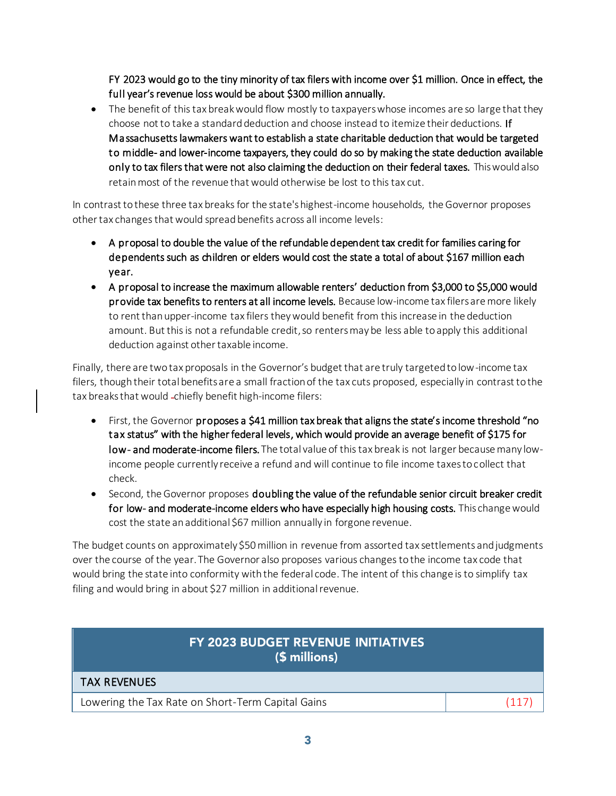FY 2023 would go to the tiny minority of tax filers with income over \$1 million. Once in effect, the full year's revenue loss would be about \$300 million annually.

• The benefit of this tax break would flow mostly to taxpayers whose incomes are so large that they choose not to take a standard deduction and choose instead to itemize their deductions. If Massachusetts lawmakers want to establish a state charitable deduction that would be targeted to middle- and lower-income taxpayers, they could do so by making the state deduction available only to tax filers that were not also claiming the deduction on their federal taxes. This would also retain most of the revenue that would otherwise be lost to this tax cut.

In contrast to these three tax breaks for the state's highest-income households, the Governor proposes other tax changes that would spread benefits across all income levels:

- A proposal to double the value of the refundable dependent tax credit for families caring for dependents such as children or elders would cost the state a total of about \$167 million each year.
- A proposal to increase the maximum allowable renters' deduction from \$3,000 to \$5,000 would provide tax benefits to renters at all income levels. Because low-income tax filers are more likely to rent than upper-income tax filers theywould benefit from this increase in the deduction amount. But this is not a refundable credit, so renters may be less able to apply this additional deduction against other taxable income.

Finally, there are two tax proposals in the Governor's budget that are truly targeted to low-income tax filers, though their total benefits are a small fraction of the tax cuts proposed, especially in contrast to the tax breaks that would -chiefly benefit high-income filers:

- First, the Governor proposes a \$41 million tax break that aligns the state's income threshold "no tax status" with the higher federal levels, which would provide an average benefit of \$175 for low- and moderate-income filers. The total value of this tax break is not larger because many lowincome people currently receive a refund and will continue to file income taxes to collect that check.
- Second, the Governor proposes doubling the value of the refundable senior circuit breaker credit for low- and moderate-income elders who have especially high housing costs. This change would cost the state an additional \$67 million annually in forgone revenue.

The budget counts on approximately \$50 million in revenue from assorted tax settlements and judgments over the course of the year. The Governor also proposes various changes to the income tax code that would bring the state into conformity with the federal code. The intent of this change is to simplify tax filing and would bring in about \$27 million in additional revenue.

| FY 2023 BUDGET REVENUE INITIATIVES<br>$(5 millions)$ |  |
|------------------------------------------------------|--|
| <b>TAX REVENUES</b>                                  |  |
| Lowering the Tax Rate on Short-Term Capital Gains    |  |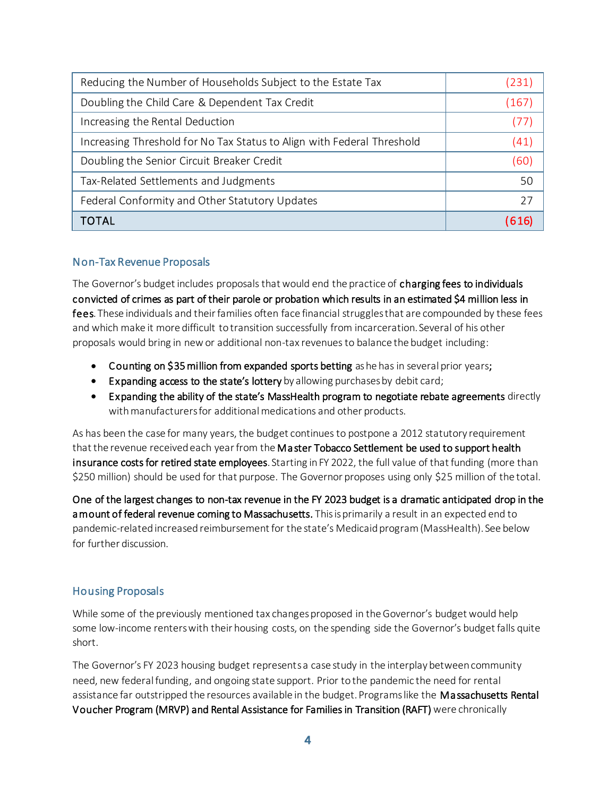| Reducing the Number of Households Subject to the Estate Tax            | (231) |
|------------------------------------------------------------------------|-------|
| Doubling the Child Care & Dependent Tax Credit                         | (167) |
| Increasing the Rental Deduction                                        |       |
| Increasing Threshold for No Tax Status to Align with Federal Threshold | (41)  |
| Doubling the Senior Circuit Breaker Credit                             | (60)  |
| Tax-Related Settlements and Judgments                                  | 50    |
| Federal Conformity and Other Statutory Updates                         | 27    |
| <b>TOTAL</b>                                                           |       |

#### Non-Tax Revenue Proposals

The Governor's budget includes proposals that would end the practice of charging fees to individuals convicted of crimes as part of their parole or probation which results in an estimated \$4 million less in fees. These individuals and their families often face financial struggles that are compounded by these fees and which make it more difficult to transition successfully from incarceration. Several of his other proposals would bring in new or additional non-tax revenues to balance the budget including:

- Counting on \$35 million from expanded sports betting as he has in several prior years;
- Expanding access to the state's lottery by allowing purchases by debit card;
- Expanding the ability of the state's MassHealth program to negotiate rebate agreements directly with manufacturers for additional medications and other products.

As has been the case for many years, the budget continues to postpone a 2012 statutory requirement that the revenue received each year from the Master Tobacco Settlement be used to support health insurance costs for retired state employees. Starting in FY 2022, the full value of that funding (more than \$250 million) should be used for that purpose. The Governor proposes using only \$25 million of the total.

One of the largest changes to non-tax revenue in the FY 2023 budget is a dramatic anticipated drop in the a mount of federal revenue coming to Massachusetts. This is primarily a result in an expected end to pandemic-related increased reimbursement for the state's Medicaid program (MassHealth). See below for further discussion.

## Housing Proposals

While some of the previously mentioned tax changes proposed in the Governor's budget would help some low-income renters with their housing costs, on the spending side the Governor's budget falls quite short.

The Governor's FY 2023 housing budget represents a case study in the interplay between community need, new federal funding, and ongoing state support. Prior to the pandemic the need for rental assistance far outstripped the resources available in the budget. Programs like the Massachusetts Rental Voucher Program (MRVP) and Rental Assistance for Families in Transition (RAFT) were chronically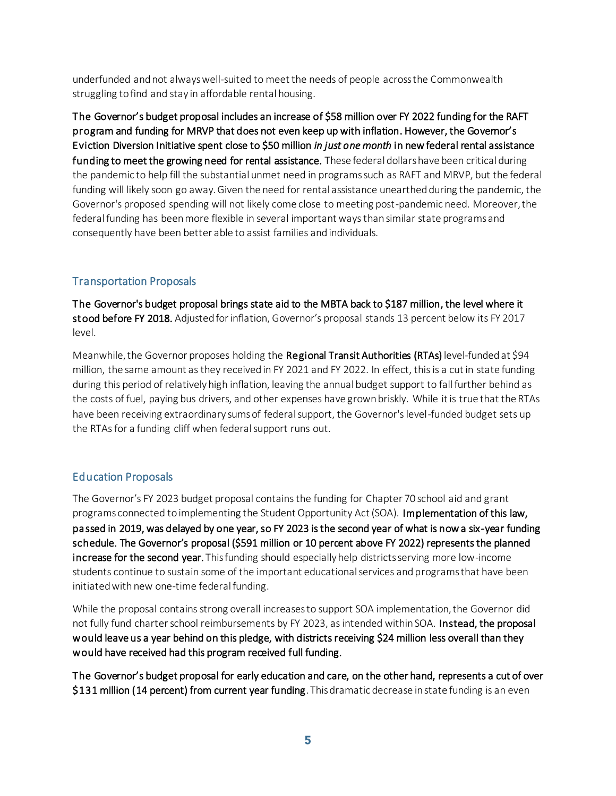underfunded and not always well-suited to meet the needs of people across the Commonwealth struggling to find and stay in affordable rental housing.

The Governor's budget proposal includes an increase of \$58 million over FY 2022 funding for the RAFT program and funding for MRVP that does not even keep up with inflation. However, the Governor's Eviction Diversion Initiative spent close to \$50 million *in just one month* in new federal rental assistance funding to meet the growing need for rental assistance. These federal dollars have been critical during the pandemic to help fill the substantial unmet need in programs such as RAFT and MRVP, but the federal funding will likely soon go away. Given the need for rental assistance unearthed during the pandemic, the Governor's proposed spending will not likely come close to meeting post-pandemic need. Moreover, the federal funding has been more flexible in several important waysthan similar state programs and consequently have been better able to assist families and individuals.

### Transportation Proposals

The Governor's budget proposal brings state aid to the MBTA back to \$187 million, the level where it stood before FY 2018. Adjusted for inflation, Governor's proposal stands 13 percent below its FY 2017 level.

Meanwhile, the Governor proposes holding the Regional Transit Authorities (RTAs) level-funded at \$94 million, the same amount as they received in FY 2021 and FY 2022. In effect, this is a cut in state funding during this period of relatively high inflation, leaving the annual budget support to fall further behind as the costs of fuel, paying bus drivers, and other expenses have grown briskly. While it is true that the RTAs have been receiving extraordinary sums of federal support, the Governor's level-funded budget sets up the RTAs for a funding cliff when federal support runs out.

#### Education Proposals

The Governor's FY 2023 budget proposal contains the funding for Chapter 70 school aid and grant programs connected to implementing the Student Opportunity Act (SOA). Implementation of this law, passed in 2019, was delayed by one year, so FY 2023 is the second year of what is now a six-year funding schedule. The Governor's proposal (\$591 million or 10 percent above FY 2022) represents the planned increase for the second year. This funding should especially help districts serving more low-income students continue to sustain some of the important educational services and programs that have been initiated with new one-time federal funding.

While the proposal contains strong overall increases to support SOA implementation, the Governor did not fully fund charter school reimbursements by FY 2023, as intended within SOA. Instead, the proposal would leave us a year behind on this pledge, with districts receiving \$24 million less overall than they would have received had this program received full funding.

The Governor's budget proposal for early education and care, on the other hand, represents a cut of over \$131 million (14 percent) from current year funding. This dramatic decrease in state funding is an even